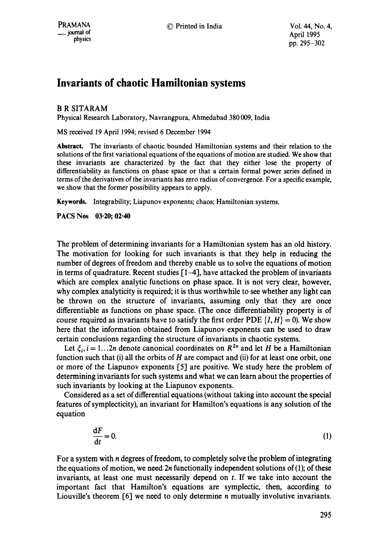## **Invariants of chaotic Hamiltonian systems**

## B R SITARAM

Physical Research Laboratory, Navrangpura, Ahmedabad 380 009, India

MS received 19 April 1994; revised 6 December 1994

**Abstract.** The invariants of chaotic bounded Hamiltonian systems and their relation to the solutions of the first variational equations of the equations of motion are studied. We show that these invariants are characterized by the fact that they either lose the property of differentiability as functions on phase space or that a certain formal power series defined in terms of the derivatives of the invariants has zero radius of convergence. For a specific example, we show that the former possibility appears to apply.

Keywords. Integrability; Liapunov exponents; chaos; Hamiltonian systems.

**PACS Nos 03.20; 02.40** 

The problem of determining invariants for a Hamiltonian system has an old history. The motivation for looking for such invariants is that they help in reducing the number of degrees of freedom and thereby enable us to solve the equations of motion in terms of quadrature. Recent studies  $[1-4]$ , have attacked the problem of invariants which are complex analytic functions on phase space. It is not very clear, however, why complex analyticity is required; it is thus worthwhile to see whether any light can be thrown on the structure of invariants, assuming only that they are once differentiable as functions on phase space. (The once differentiability property is of course required as invariants have to satisfy the first order PDE  $\{I, H\} = 0$ ). We show here that the information obtained from Liapunov exponents can be used to draw certain conclusions regarding the structure of invariants in chaotic systems.

Let  $\xi_i$ ,  $i = 1...2n$  denote canonical coordinates on  $R^{2n}$  and let H be a Hamiltonian function such that (i) all the orbits of  $H$  are compact and (ii) for at least one orbit, one or more of the Liapunov exponents  $[5]$  are positive. We study here the problem of determining invariants for such systems and what we can learn about the properties of such invariants by looking at the Liapunov exponents.

Considered as a set of differential equations (without taking into account the special features of symplecticity), an invariant for Hamilton's equations is any solution of the equation

$$
\frac{\mathrm{d}F}{\mathrm{d}t} = 0.\tag{1}
$$

For a system with n degrees of freedom, to completely solve the problem of integrating the equations of motion, we need  $2n$  functionally independent solutions of (1); of these invariants, at least one must necessarily depend on t. If we take into account the important fact that Hamilton's equations are symplectic, then, according to Liouville's theorem  $[6]$  we need to only determine n mutually involutive invariants.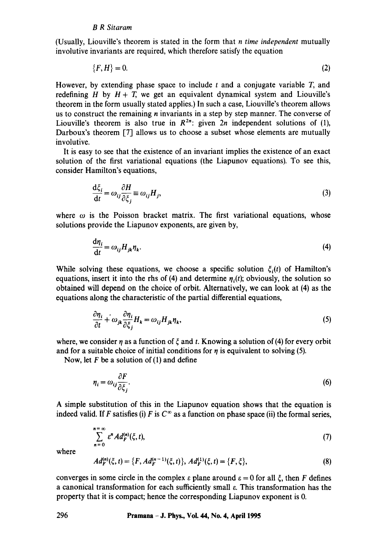(Usually, Liouville's theorem is stated in the form that *n time independent* mutually involutive invariants are required, which therefore satisfy the equation

$$
\{F,H\}=0.\tag{2}
$$

However, by extending phase space to include t and a conjugate variable  $T$ , and redefining H by  $H + T$ , we get an equivalent dynamical system and Liouville's theorem in the form usually stated applies.) In such a case, Liouville's theorem allows us to construct the remaining n invariants in a step by step manner. The converse of Liouville's theorem is also true in  $R^{2n}$ : given  $2n$  independent solutions of (1), Darboux's theorem [7] allows us to choose a subset whose elements are mutually involutive.

It is easy to see that the existence of an invariant implies the existence of an exact solution of the first variational equations (the Liapunov equations). To see this, consider Hamilton's equations,

$$
\frac{d\xi_i}{dt} = \omega_{ij} \frac{\partial H}{\partial \xi_j} \equiv \omega_{ij} H_j,
$$
\n(3)

where  $\omega$  is the Poisson bracket matrix. The first variational equations, whose solutions provide the Liapunov exponents, are given by,

$$
\frac{d\eta_i}{dt} = \omega_{ij} H_{jk} \eta_k. \tag{4}
$$

While solving these equations, we choose a specific solution  $\xi_i(t)$  of Hamilton's equations, insert it into the rhs of (4) and determine  $\eta_i(t)$ ; obviously, the solution so obtained will depend on the choice of orbit. Alternatively, we can look at (4) as the equations along the characteristic of the partial differential equations,

$$
\frac{\partial \eta_i}{\partial t} + \omega_{jk} \frac{\partial \eta_i}{\partial \xi_j} H_k = \omega_{ij} H_{jk} \eta_k,
$$
\n(5)

where, we consider  $\eta$  as a function of  $\xi$  and t. Knowing a solution of (4) for every orbit and for a suitable choice of initial conditions for  $\eta$  is equivalent to solving (5).

Now, let  $F$  be a solution of (1) and define

$$
\eta_i = \omega_{ij} \frac{\partial F}{\partial \xi_j}.
$$
\n(6)

A simple substitution of this in the Liapunov equation shows that the equation is indeed valid. If F satisfies (i) F is  $C^{\infty}$  as a function on phase space (ii) the formal series,

$$
\sum_{n=0}^{n=\infty} \varepsilon^n Ad_F^{(n)}(\xi, t),\tag{7}
$$

where

$$
Ad_F^{(n)}(\xi, t) = \{F, Ad_F^{(n-1)}(\xi, t)\}, Ad_F^{(1)}(\xi, t) = \{F, \xi\},\tag{8}
$$

converges in some circle in the complex  $\varepsilon$  plane around  $\varepsilon = 0$  for all  $\xi$ , then F defines a canonical transformation for each sufficiently small e. This transformation has the property that it is compact; hence the corresponding Liapunov exponent is 0.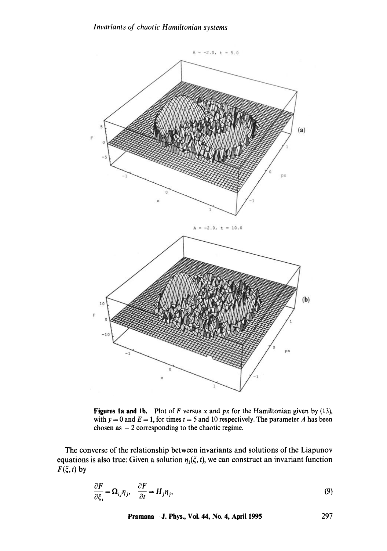

**Figures la and** lb. Plot of F versus x and *px* for the Hamiltonian given by (13), with  $y = 0$  and  $E = 1$ , for times  $t = 5$  and 10 respectively. The parameter A has been chosen as  $-2$  corresponding to the chaotic regime.

The converse of the relationship between invariants and solutions of the Liapunov equations is also true: Given a solution  $\eta_i(\xi, t)$ , we can construct an invariant function  $F(\xi, t)$  by

$$
\frac{\partial F}{\partial \xi_i} = \Omega_{ij} \eta_j, \quad \frac{\partial F}{\partial t} = H_j \eta_j,
$$
\n(9)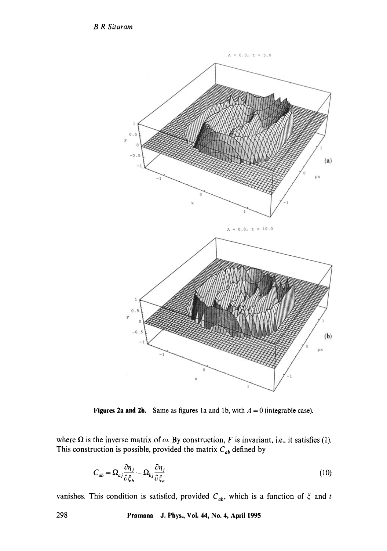*B R Sitaram* 



**Figures 2a and 2b.** Same as figures 1a and 1b, with  $A = 0$  (integrable case).

where  $\Omega$  is the inverse matrix of  $\omega$ . By construction, F is invariant, i.e., it satisfies (1). This construction is possible, provided the matrix  $C_{ab}$  defined by

$$
C_{ab} = \Omega_{aj} \frac{\partial \eta_j}{\partial \xi_b} - \Omega_{bj} \frac{\partial \eta_j}{\partial \xi_a}
$$
 (10)

vanishes. This condition is satisfied, provided  $C_{ab}$ , which is a function of  $\xi$  and t

**298 Pramana - J. Phys., Vol. 44, No. 4, April 1995**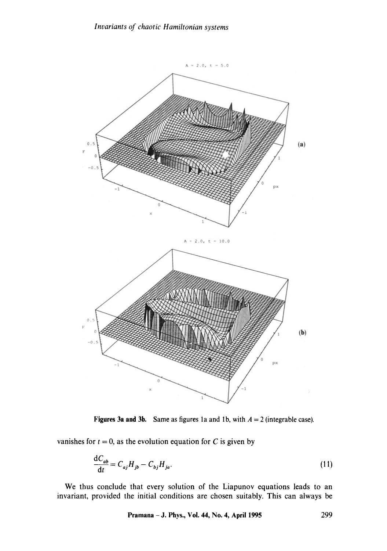

Figures 3a and 3b. Same as figures 1a and 1b, with  $A = 2$  (integrable case).

vanishes for  $t = 0$ , as the evolution equation for C is given by

$$
\frac{\mathrm{d}C_{ab}}{\mathrm{d}t} = C_{aj}H_{jb} - C_{bj}H_{ja}.\tag{11}
$$

We thus conclude that every solution of the Liapunov equations leads to an invariant, provided the initial conditions are chosen suitably. This can always be

**Pramana -** J. Phys., Vol. 44, No. 4, April 1995 299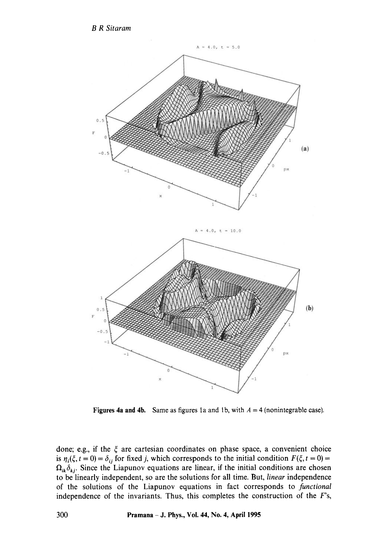*B R Sitaram* 



Figures 4a and 4b. Same as figures 1a and 1b, with  $A = 4$  (nonintegrable case).

done; e.g., if the  $\xi$  are cartesian coordinates on phase space, a convenient choice is  $\eta_i(\xi, t = 0) = \delta_{ij}$  for fixed j, which corresponds to the initial condition  $F(\xi, t = 0) =$  $\Omega_{ik}\delta_{kj}$ . Since the Liapunov equations are linear, if the initial conditions are chosen to be linearly independent, so are the solutions for all time. But, *linear* independence of the solutions of the Liapunov equations in fact corresponds to *functional*  independence of the invariants. Thus, this completes the construction of the  $F$ 's,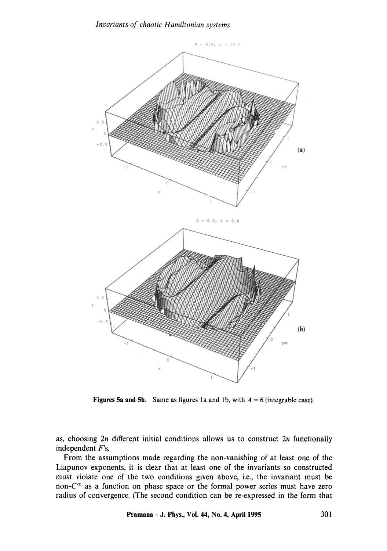

Figures 5a and 5b. Same as figures 1a and 1b, with  $A = 6$  (integrable case).

as, choosing 2n different initial conditions allows us to construct 2n functionally independent F's.

From the assumptions made regarding the non-vanishing of at least one of the Liapunov exponents, it is clear that at least one of the invariants so constructed must violate one of the two conditions given above, i.e., the invariant must be non- $C^{\infty}$  as a function on phase space or the formal power series must have zero radius of convergence. (The second condition can be re-expressed in the form that